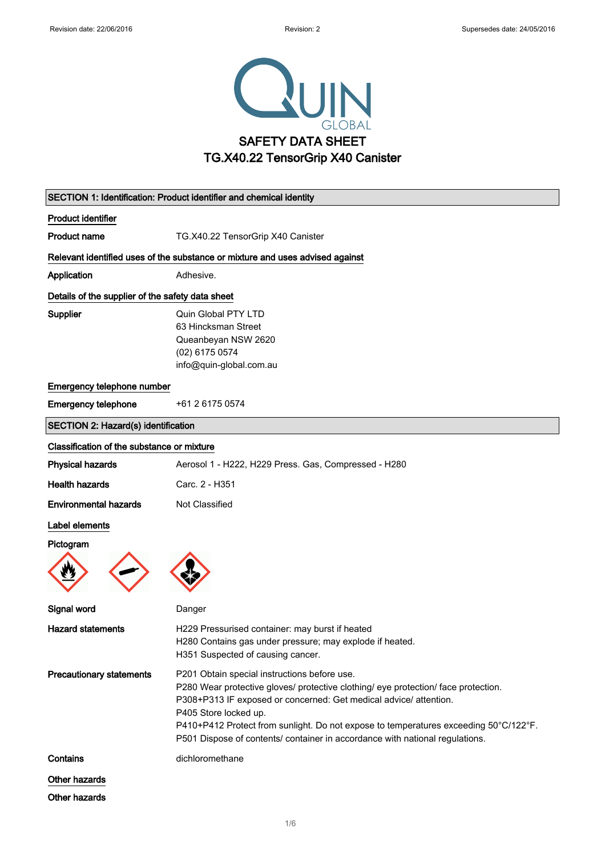

| SECTION 1: Identification: Product identifier and chemical identity |                                                                                                                                                                                                                                                                                                                                                                                                          |
|---------------------------------------------------------------------|----------------------------------------------------------------------------------------------------------------------------------------------------------------------------------------------------------------------------------------------------------------------------------------------------------------------------------------------------------------------------------------------------------|
| <b>Product identifier</b>                                           |                                                                                                                                                                                                                                                                                                                                                                                                          |
| <b>Product name</b>                                                 | TG.X40.22 TensorGrip X40 Canister                                                                                                                                                                                                                                                                                                                                                                        |
|                                                                     | Relevant identified uses of the substance or mixture and uses advised against                                                                                                                                                                                                                                                                                                                            |
| Application                                                         | Adhesive.                                                                                                                                                                                                                                                                                                                                                                                                |
| Details of the supplier of the safety data sheet                    |                                                                                                                                                                                                                                                                                                                                                                                                          |
| <b>Supplier</b>                                                     | Quin Global PTY LTD<br>63 Hincksman Street<br>Queanbeyan NSW 2620<br>(02) 6175 0574<br>info@quin-global.com.au                                                                                                                                                                                                                                                                                           |
| Emergency telephone number                                          |                                                                                                                                                                                                                                                                                                                                                                                                          |
| <b>Emergency telephone</b>                                          | +61 2 6175 0574                                                                                                                                                                                                                                                                                                                                                                                          |
| SECTION 2: Hazard(s) identification                                 |                                                                                                                                                                                                                                                                                                                                                                                                          |
| Classification of the substance or mixture                          |                                                                                                                                                                                                                                                                                                                                                                                                          |
| <b>Physical hazards</b>                                             | Aerosol 1 - H222, H229 Press. Gas, Compressed - H280                                                                                                                                                                                                                                                                                                                                                     |
| <b>Health hazards</b>                                               | Carc. 2 - H351                                                                                                                                                                                                                                                                                                                                                                                           |
| <b>Environmental hazards</b>                                        | Not Classified                                                                                                                                                                                                                                                                                                                                                                                           |
| Label elements                                                      |                                                                                                                                                                                                                                                                                                                                                                                                          |
| Pictogram                                                           |                                                                                                                                                                                                                                                                                                                                                                                                          |
| Signal word                                                         | Danger                                                                                                                                                                                                                                                                                                                                                                                                   |
| <b>Hazard statements</b>                                            | H229 Pressurised container: may burst if heated<br>H280 Contains gas under pressure; may explode if heated.<br>H351 Suspected of causing cancer.                                                                                                                                                                                                                                                         |
| <b>Precautionary statements</b>                                     | P201 Obtain special instructions before use.<br>P280 Wear protective gloves/ protective clothing/ eye protection/ face protection.<br>P308+P313 IF exposed or concerned: Get medical advice/ attention.<br>P405 Store locked up.<br>P410+P412 Protect from sunlight. Do not expose to temperatures exceeding 50°C/122°F.<br>P501 Dispose of contents/ container in accordance with national regulations. |
| Contains                                                            | dichloromethane                                                                                                                                                                                                                                                                                                                                                                                          |
| Other hazards                                                       |                                                                                                                                                                                                                                                                                                                                                                                                          |
| Other hazards                                                       |                                                                                                                                                                                                                                                                                                                                                                                                          |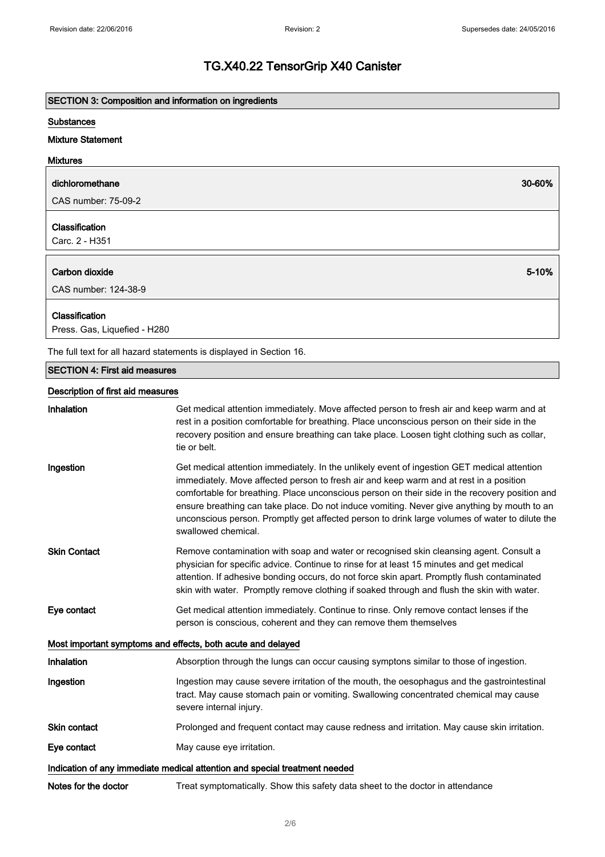# SECTION 3: Composition and information on ingredients

#### **Substances**

# Mixture Statement

| dichloromethane                  | 30-60% |
|----------------------------------|--------|
| CAS number: 75-09-2              |        |
| Classification<br>Carc. 2 - H351 |        |
| Carbon dioxide                   | 5-10%  |
|                                  |        |
| CAS number: 124-38-9             |        |

The full text for all hazard statements is displayed in Section 16.

# SECTION 4: First aid measures

#### Description of first aid measures

| Inhalation                                                  | Get medical attention immediately. Move affected person to fresh air and keep warm and at<br>rest in a position comfortable for breathing. Place unconscious person on their side in the<br>recovery position and ensure breathing can take place. Loosen tight clothing such as collar,<br>tie or belt.                                                                                                                                                                                                        |
|-------------------------------------------------------------|-----------------------------------------------------------------------------------------------------------------------------------------------------------------------------------------------------------------------------------------------------------------------------------------------------------------------------------------------------------------------------------------------------------------------------------------------------------------------------------------------------------------|
| Ingestion                                                   | Get medical attention immediately. In the unlikely event of ingestion GET medical attention<br>immediately. Move affected person to fresh air and keep warm and at rest in a position<br>comfortable for breathing. Place unconscious person on their side in the recovery position and<br>ensure breathing can take place. Do not induce vomiting. Never give anything by mouth to an<br>unconscious person. Promptly get affected person to drink large volumes of water to dilute the<br>swallowed chemical. |
| <b>Skin Contact</b>                                         | Remove contamination with soap and water or recognised skin cleansing agent. Consult a<br>physician for specific advice. Continue to rinse for at least 15 minutes and get medical<br>attention. If adhesive bonding occurs, do not force skin apart. Promptly flush contaminated<br>skin with water. Promptly remove clothing if soaked through and flush the skin with water.                                                                                                                                 |
| Eye contact                                                 | Get medical attention immediately. Continue to rinse. Only remove contact lenses if the<br>person is conscious, coherent and they can remove them themselves                                                                                                                                                                                                                                                                                                                                                    |
| Most important symptoms and effects, both acute and delayed |                                                                                                                                                                                                                                                                                                                                                                                                                                                                                                                 |
| Inhalation                                                  | Absorption through the lungs can occur causing symptons similar to those of ingestion.                                                                                                                                                                                                                                                                                                                                                                                                                          |
| Ingestion                                                   | Ingestion may cause severe irritation of the mouth, the oesophagus and the gastrointestinal<br>tract. May cause stomach pain or vomiting. Swallowing concentrated chemical may cause<br>severe internal injury.                                                                                                                                                                                                                                                                                                 |
| <b>Skin contact</b>                                         | Prolonged and frequent contact may cause redness and irritation. May cause skin irritation.                                                                                                                                                                                                                                                                                                                                                                                                                     |
| Eye contact                                                 | May cause eye irritation.                                                                                                                                                                                                                                                                                                                                                                                                                                                                                       |
|                                                             | Indication of any immediate medical attention and special treatment needed                                                                                                                                                                                                                                                                                                                                                                                                                                      |
| Notes for the doctor                                        | Treat symptomatically. Show this safety data sheet to the doctor in attendance                                                                                                                                                                                                                                                                                                                                                                                                                                  |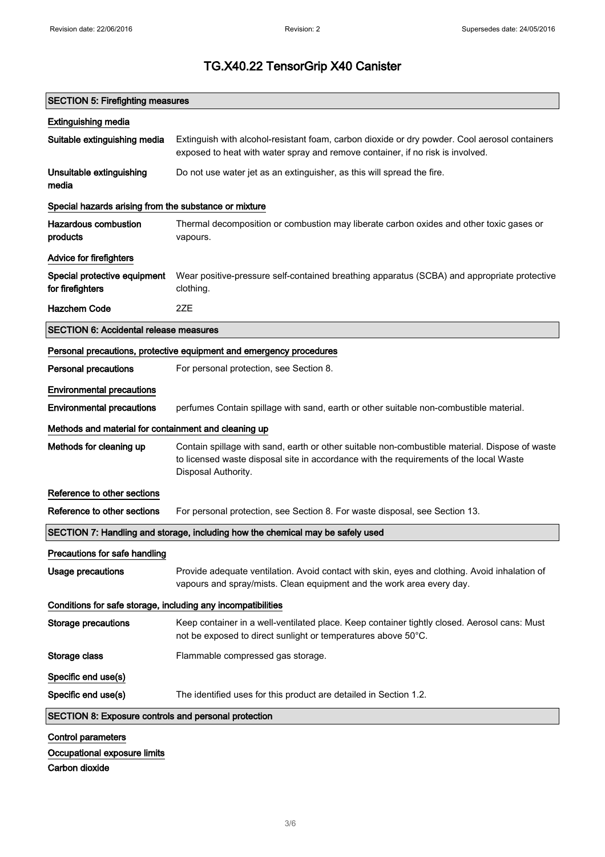| <b>SECTION 5: Firefighting measures</b>                      |                                                                                                                                                                                                                 |
|--------------------------------------------------------------|-----------------------------------------------------------------------------------------------------------------------------------------------------------------------------------------------------------------|
| <b>Extinguishing media</b>                                   |                                                                                                                                                                                                                 |
| Suitable extinguishing media                                 | Extinguish with alcohol-resistant foam, carbon dioxide or dry powder. Cool aerosol containers<br>exposed to heat with water spray and remove container, if no risk is involved.                                 |
| Unsuitable extinguishing<br>media                            | Do not use water jet as an extinguisher, as this will spread the fire.                                                                                                                                          |
| Special hazards arising from the substance or mixture        |                                                                                                                                                                                                                 |
| <b>Hazardous combustion</b><br>products                      | Thermal decomposition or combustion may liberate carbon oxides and other toxic gases or<br>vapours.                                                                                                             |
| Advice for firefighters                                      |                                                                                                                                                                                                                 |
| Special protective equipment<br>for firefighters             | Wear positive-pressure self-contained breathing apparatus (SCBA) and appropriate protective<br>clothing.                                                                                                        |
| <b>Hazchem Code</b>                                          | 2ZE                                                                                                                                                                                                             |
| <b>SECTION 6: Accidental release measures</b>                |                                                                                                                                                                                                                 |
|                                                              | Personal precautions, protective equipment and emergency procedures                                                                                                                                             |
| <b>Personal precautions</b>                                  | For personal protection, see Section 8.                                                                                                                                                                         |
| <b>Environmental precautions</b>                             |                                                                                                                                                                                                                 |
| <b>Environmental precautions</b>                             | perfumes Contain spillage with sand, earth or other suitable non-combustible material.                                                                                                                          |
| Methods and material for containment and cleaning up         |                                                                                                                                                                                                                 |
| Methods for cleaning up                                      | Contain spillage with sand, earth or other suitable non-combustible material. Dispose of waste<br>to licensed waste disposal site in accordance with the requirements of the local Waste<br>Disposal Authority. |
| Reference to other sections                                  |                                                                                                                                                                                                                 |
| Reference to other sections                                  | For personal protection, see Section 8. For waste disposal, see Section 13.                                                                                                                                     |
|                                                              | SECTION 7: Handling and storage, including how the chemical may be safely used                                                                                                                                  |
| Precautions for safe handling                                |                                                                                                                                                                                                                 |
| <b>Usage precautions</b>                                     | Provide adequate ventilation. Avoid contact with skin, eyes and clothing. Avoid inhalation of<br>vapours and spray/mists. Clean equipment and the work area every day.                                          |
| Conditions for safe storage, including any incompatibilities |                                                                                                                                                                                                                 |
| <b>Storage precautions</b>                                   | Keep container in a well-ventilated place. Keep container tightly closed. Aerosol cans: Must<br>not be exposed to direct sunlight or temperatures above 50°C.                                                   |
| Storage class                                                | Flammable compressed gas storage.                                                                                                                                                                               |
| Specific end use(s)                                          |                                                                                                                                                                                                                 |
| Specific end use(s)                                          | The identified uses for this product are detailed in Section 1.2.                                                                                                                                               |
| <b>SECTION 8: Exposure controls and personal protection</b>  |                                                                                                                                                                                                                 |
| <b>Control parameters</b>                                    |                                                                                                                                                                                                                 |
| Occupational exposure limits                                 |                                                                                                                                                                                                                 |
| Carbon dioxide                                               |                                                                                                                                                                                                                 |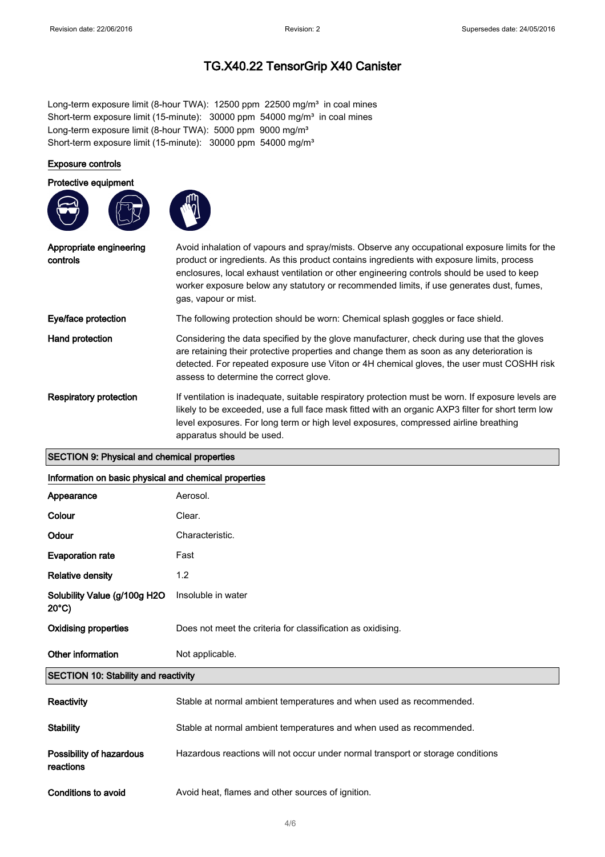Long-term exposure limit (8-hour TWA): 12500 ppm 22500 mg/m<sup>3</sup> in coal mines Short-term exposure limit (15-minute):  $30000$  ppm  $54000$  mg/m<sup>3</sup> in coal mines Long-term exposure limit (8-hour TWA): 5000 ppm 9000 mg/m<sup>3</sup> Short-term exposure limit (15-minute): 30000 ppm 54000 mg/m<sup>3</sup>

# Exposure controls

#### Protective equipment





| Appropriate engineering<br>controls | Avoid inhalation of vapours and spray/mists. Observe any occupational exposure limits for the<br>product or ingredients. As this product contains ingredients with exposure limits, process<br>enclosures, local exhaust ventilation or other engineering controls should be used to keep<br>worker exposure below any statutory or recommended limits, if use generates dust, fumes,<br>gas, vapour or mist. |
|-------------------------------------|---------------------------------------------------------------------------------------------------------------------------------------------------------------------------------------------------------------------------------------------------------------------------------------------------------------------------------------------------------------------------------------------------------------|
| Eye/face protection                 | The following protection should be worn: Chemical splash goggles or face shield.                                                                                                                                                                                                                                                                                                                              |
| Hand protection                     | Considering the data specified by the glove manufacturer, check during use that the gloves<br>are retaining their protective properties and change them as soon as any deterioration is<br>detected. For repeated exposure use Viton or 4H chemical gloves, the user must COSHH risk<br>assess to determine the correct glove.                                                                                |
| <b>Respiratory protection</b>       | If ventilation is inadequate, suitable respiratory protection must be worn. If exposure levels are<br>likely to be exceeded, use a full face mask fitted with an organic AXP3 filter for short term low<br>level exposures. For long term or high level exposures, compressed airline breathing<br>apparatus should be used.                                                                                  |

#### SECTION 9: Physical and chemical properties

#### Information on basic physical and chemical properties

| Appearance                                      | Aerosol.                                                                        |
|-------------------------------------------------|---------------------------------------------------------------------------------|
| Colour                                          | Clear.                                                                          |
| Odour                                           | Characteristic.                                                                 |
| <b>Evaporation rate</b>                         | Fast                                                                            |
| <b>Relative density</b>                         | 1.2                                                                             |
| Solubility Value (g/100g H2O<br>$20^{\circ}$ C) | Insoluble in water                                                              |
| <b>Oxidising properties</b>                     | Does not meet the criteria for classification as oxidising.                     |
| Other information                               | Not applicable.                                                                 |
| <b>SECTION 10: Stability and reactivity</b>     |                                                                                 |
| <b>Reactivity</b>                               | Stable at normal ambient temperatures and when used as recommended.             |
| <b>Stability</b>                                | Stable at normal ambient temperatures and when used as recommended.             |
| Possibility of hazardous<br>reactions           | Hazardous reactions will not occur under normal transport or storage conditions |
| Conditions to avoid                             | Avoid heat, flames and other sources of ignition.                               |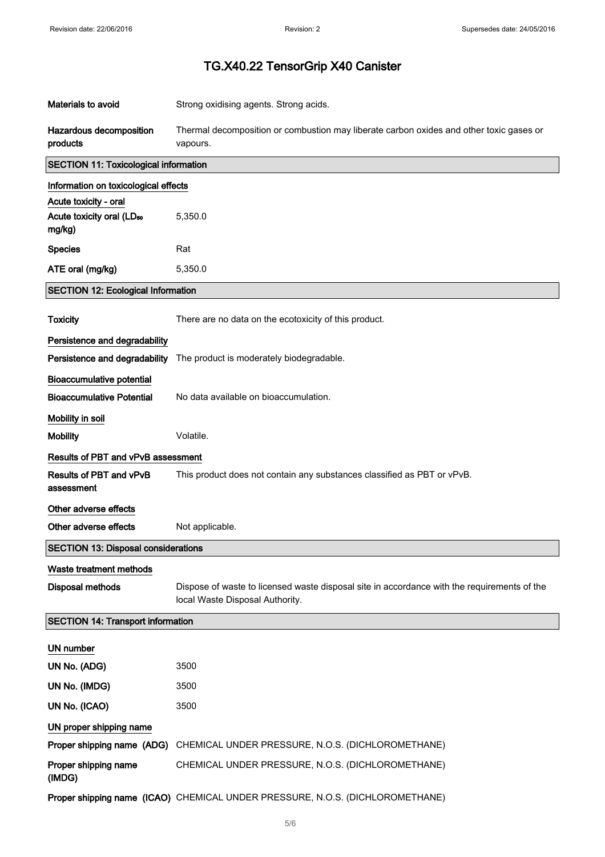| <b>Materials to avoid</b>                                                | Strong oxidising agents. Strong acids.                                                                                         |
|--------------------------------------------------------------------------|--------------------------------------------------------------------------------------------------------------------------------|
| Hazardous decomposition<br>products                                      | Thermal decomposition or combustion may liberate carbon oxides and other toxic gases or<br>vapours.                            |
| <b>SECTION 11: Toxicological information</b>                             |                                                                                                                                |
| Information on toxicological effects                                     |                                                                                                                                |
| Acute toxicity - oral<br>Acute toxicity oral (LD <sub>50</sub><br>mg/kg) | 5,350.0                                                                                                                        |
| <b>Species</b>                                                           | Rat                                                                                                                            |
| ATE oral (mg/kg)                                                         | 5,350.0                                                                                                                        |
| <b>SECTION 12: Ecological Information</b>                                |                                                                                                                                |
| <b>Toxicity</b>                                                          | There are no data on the ecotoxicity of this product.                                                                          |
| Persistence and degradability                                            |                                                                                                                                |
| Persistence and degradability                                            | The product is moderately biodegradable.                                                                                       |
| <b>Bioaccumulative potential</b><br><b>Bioaccumulative Potential</b>     | No data available on bioaccumulation.                                                                                          |
|                                                                          |                                                                                                                                |
| Mobility in soil<br><b>Mobility</b>                                      | Volatile.                                                                                                                      |
| <b>Results of PBT and vPvB assessment</b>                                |                                                                                                                                |
| <b>Results of PBT and vPvB</b>                                           | This product does not contain any substances classified as PBT or vPvB.                                                        |
| assessment                                                               |                                                                                                                                |
| Other adverse effects                                                    |                                                                                                                                |
| Other adverse effects                                                    | Not applicable.                                                                                                                |
| <b>SECTION 13: Disposal considerations</b>                               |                                                                                                                                |
| Waste treatment methods                                                  |                                                                                                                                |
| <b>Disposal methods</b>                                                  | Dispose of waste to licensed waste disposal site in accordance with the requirements of the<br>local Waste Disposal Authority. |
| <b>SECTION 14: Transport information</b>                                 |                                                                                                                                |
| UN number                                                                |                                                                                                                                |
|                                                                          |                                                                                                                                |
| UN No. (ADG)                                                             | 3500                                                                                                                           |
| UN No. (IMDG)                                                            | 3500                                                                                                                           |
| UN No. (ICAO)                                                            | 3500                                                                                                                           |
| UN proper shipping name                                                  |                                                                                                                                |
| Proper shipping name (ADG)                                               | CHEMICAL UNDER PRESSURE, N.O.S. (DICHLOROMETHANE)                                                                              |
| Proper shipping name<br>(IMDG)                                           | CHEMICAL UNDER PRESSURE, N.O.S. (DICHLOROMETHANE)                                                                              |